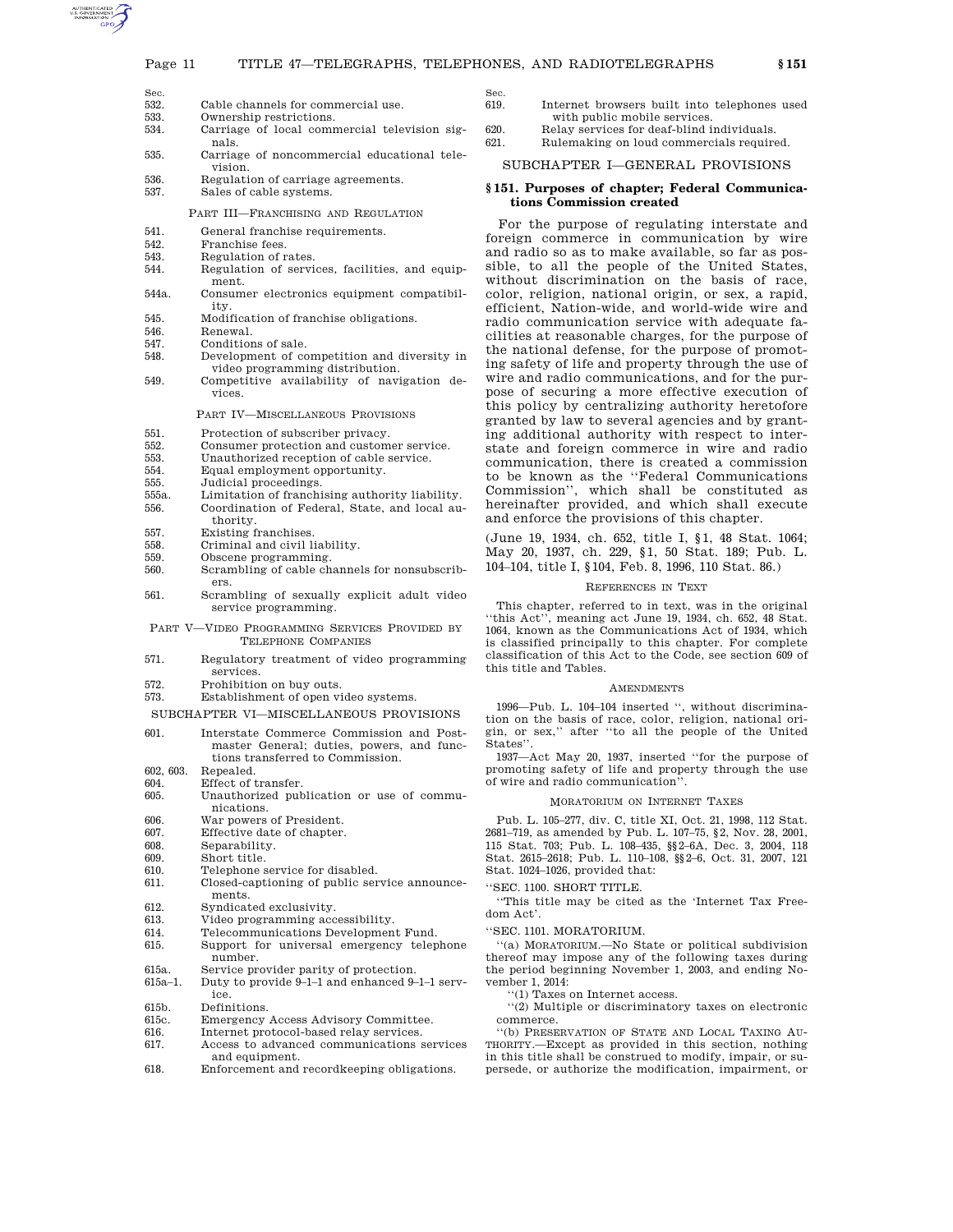# Page 11 TITLE 47—TELEGRAPHS, TELEPHONES, AND RADIOTELEGRAPHS **§ 151**

Sec. 532. Cable channels for commercial use.<br>533 Ownership restrictions Ownership restrictions. 534. Carriage of local commercial television signals. 535. Carriage of noncommercial educational television. 536. Regulation of carriage agreements.<br>537. Sales of cable systems. Sales of cable systems. PART III—FRANCHISING AND REGULATION 541. General franchise requirements. 542. Franchise fees.<br>543 Regulation of 1 Regulation of rates. 544. Regulation of services, facilities, and equipment. 544a. Consumer electronics equipment compatibility. 545. Modification of franchise obligations.<br>546 Renewal 546. Renewal.<br>547. Condition Conditions of sale. 548. Development of competition and diversity in video programming distribution. 549. Competitive availability of navigation devices. PART IV—MISCELLANEOUS PROVISIONS 551. Protection of subscriber privacy.

- 552. Consumer protection and customer service.<br>553. Inauthorized reception of cable service
- 553. Unauthorized reception of cable service.
- 554. Equal employment opportunity.
- 555. Judicial proceedings.
- Limitation of franchising authority liability. 556. Coordination of Federal, State, and local authority.
- 557. Existing franchises.
- 
- 558. Criminal and civil liability.<br>559. Obscene programming.
- 559. Obscene programming.<br>560. Scrambling of cable cha Scrambling of cable channels for nonsubscrib-
- ers. 561. Scrambling of sexually explicit adult video service programming.
- PART V—VIDEO PROGRAMMING SERVICES PROVIDED BY TELEPHONE COMPANIES
- 571. Regulatory treatment of video programming services.
- 572. Prohibition on buy outs.
- 573. Establishment of open video systems.
- SUBCHAPTER VI—MISCELLANEOUS PROVISIONS
- 601. Interstate Commerce Commission and Postmaster General; duties, powers, and functions transferred to Commission.
- 602, 603. Repealed.
- 604. Effect of transfer.<br>605. Unauthorized pul
- Unauthorized publication or use of communications.
- 606. War powers of President.<br>607. Effective date of chapter
- 607. Effective date of chapter.<br>608. Separability.
- Separability.
- 609. Short title.<br>610. Telephone s
- 610. Telephone service for disabled.<br>611. Closed-captioning of public ser
- Closed-captioning of public service announcements.
- 612. Syndicated exclusivity.<br>613. Video programming acc
- 613. Video programming accessibility.
- 614. Telecommunications Development Fund.<br>615. Support for universal emergency telep
- Support for universal emergency telephone number.
- 615a. Service provider parity of protection.<br>615a–1. Duty to provide 9-1-1 and enhanced 9-
- Duty to provide 9–1–1 and enhanced 9–1–1 service.
- 615b. Definitions.<br>615c. Emergency
- 615c. Emergency Access Advisory Committee.
- 616. Internet protocol-based relay services.
- 617. Access to advanced communications services and equipment.
- 618. Enforcement and recordkeeping obligations.
- Sec. 619. Internet browsers built into telephones used with public mobile services.
- 620. Relay services for deaf-blind individuals. Rulemaking on loud commercials required.
	-

# SUBCHAPTER I—GENERAL PROVISIONS

# **§ 151. Purposes of chapter; Federal Communications Commission created**

For the purpose of regulating interstate and foreign commerce in communication by wire and radio so as to make available, so far as possible, to all the people of the United States, without discrimination on the basis of race, color, religion, national origin, or sex, a rapid, efficient, Nation-wide, and world-wide wire and radio communication service with adequate facilities at reasonable charges, for the purpose of the national defense, for the purpose of promoting safety of life and property through the use of wire and radio communications, and for the purpose of securing a more effective execution of this policy by centralizing authority heretofore granted by law to several agencies and by granting additional authority with respect to interstate and foreign commerce in wire and radio communication, there is created a commission to be known as the ''Federal Communications Commission'', which shall be constituted as hereinafter provided, and which shall execute and enforce the provisions of this chapter.

(June 19, 1934, ch. 652, title I, §1, 48 Stat. 1064; May 20, 1937, ch. 229, §1, 50 Stat. 189; Pub. L. 104–104, title I, §104, Feb. 8, 1996, 110 Stat. 86.)

# REFERENCES IN TEXT

This chapter, referred to in text, was in the original ''this Act'', meaning act June 19, 1934, ch. 652, 48 Stat. 1064, known as the Communications Act of 1934, which is classified principally to this chapter. For complete classification of this Act to the Code, see section 609 of this title and Tables.

#### **AMENDMENTS**

1996—Pub. L. 104–104 inserted '', without discrimination on the basis of race, color, religion, national origin, or sex,'' after ''to all the people of the United States''.

1937—Act May 20, 1937, inserted ''for the purpose of promoting safety of life and property through the use of wire and radio communication''.

## MORATORIUM ON INTERNET TAXES

Pub. L. 105–277, div. C, title XI, Oct. 21, 1998, 112 Stat. 2681–719, as amended by Pub. L. 107–75, §2, Nov. 28, 2001, 115 Stat. 703; Pub. L. 108–435, §§2–6A, Dec. 3, 2004, 118 Stat. 2615–2618; Pub. L. 110–108, §§2–6, Oct. 31, 2007, 121 Stat. 1024–1026, provided that:

''SEC. 1100. SHORT TITLE.

''This title may be cited as the 'Internet Tax Freedom Act'.

''SEC. 1101. MORATORIUM.

''(a) MORATORIUM.—No State or political subdivision thereof may impose any of the following taxes during the period beginning November 1, 2003, and ending November 1, 2014:

''(1) Taxes on Internet access.

''(2) Multiple or discriminatory taxes on electronic commerce.

''(b) PRESERVATION OF STATE AND LOCAL TAXING AU-THORITY.—Except as provided in this section, nothing in this title shall be construed to modify, impair, or supersede, or authorize the modification, impairment, or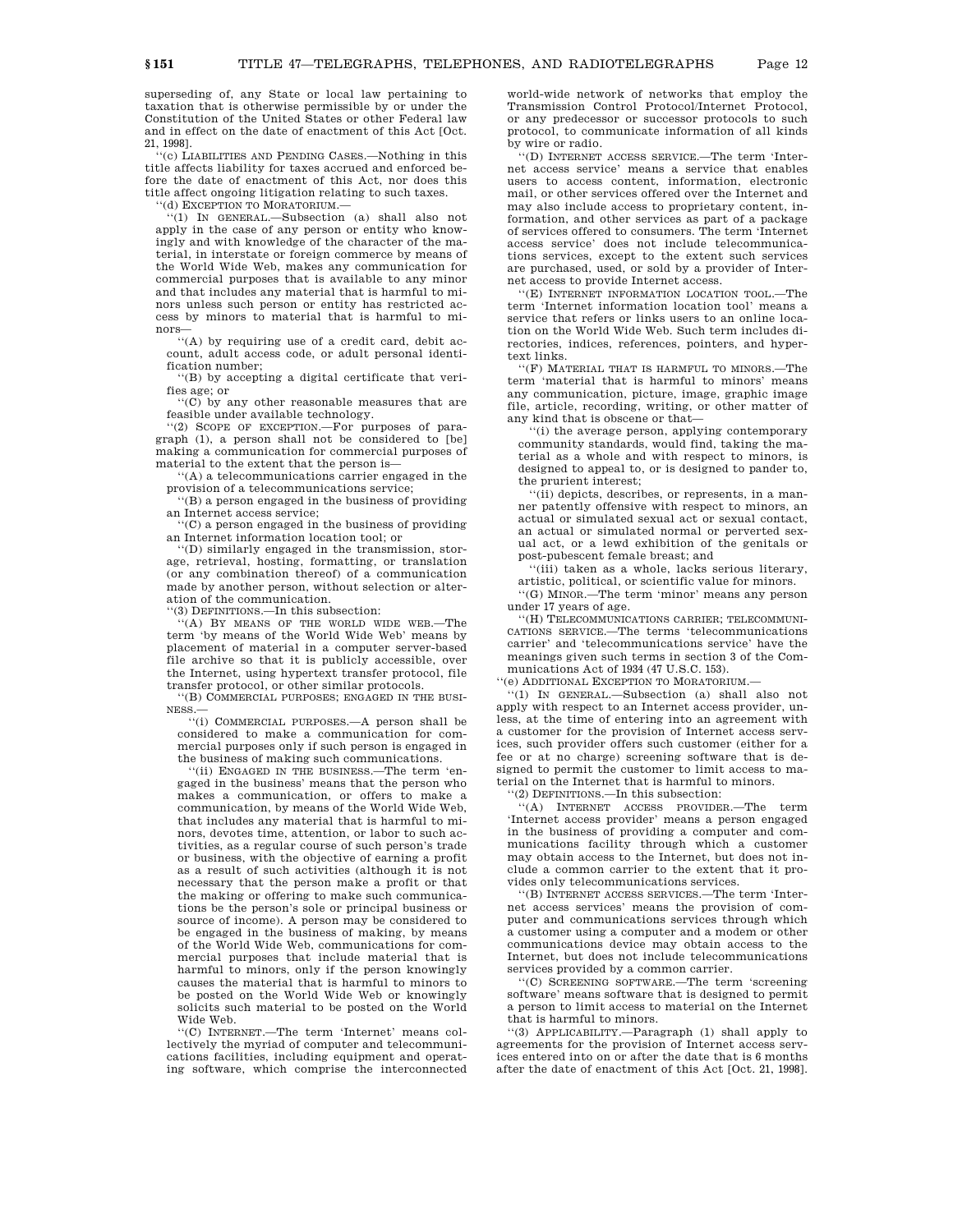superseding of, any State or local law pertaining to taxation that is otherwise permissible by or under the Constitution of the United States or other Federal law and in effect on the date of enactment of this Act [Oct. 21, 1998].

'(c) LIABILITIES AND PENDING CASES.—Nothing in this title affects liability for taxes accrued and enforced before the date of enactment of this Act, nor does this title affect ongoing litigation relating to such taxes.

(d) EXCEPTION TO MORATORIUM.-

''(1) IN GENERAL.—Subsection (a) shall also not apply in the case of any person or entity who knowingly and with knowledge of the character of the material, in interstate or foreign commerce by means of the World Wide Web, makes any communication for commercial purposes that is available to any minor and that includes any material that is harmful to minors unless such person or entity has restricted access by minors to material that is harmful to minors—

''(A) by requiring use of a credit card, debit account, adult access code, or adult personal identification number;

''(B) by accepting a digital certificate that verifies age; or

''(C) by any other reasonable measures that are feasible under available technology.

'(2) SCOPE OF EXCEPTION.-For purposes of paragraph (1), a person shall not be considered to [be] making a communication for commercial purposes of material to the extent that the person is—

''(A) a telecommunications carrier engaged in the provision of a telecommunications service;

''(B) a person engaged in the business of providing an Internet access service;

''(C) a person engaged in the business of providing an Internet information location tool; or

''(D) similarly engaged in the transmission, storage, retrieval, hosting, formatting, or translation (or any combination thereof) of a communication made by another person, without selection or alteration of the communication.

''(3) DEFINITIONS.—In this subsection:

''(A) BY MEANS OF THE WORLD WIDE WEB.—The term 'by means of the World Wide Web' means by placement of material in a computer server-based file archive so that it is publicly accessible, over the Internet, using hypertext transfer protocol, file transfer protocol, or other similar protocols.

''(B) COMMERCIAL PURPOSES; ENGAGED IN THE BUSI-NESS.—

''(i) COMMERCIAL PURPOSES.—A person shall be considered to make a communication for commercial purposes only if such person is engaged in the business of making such communications.

''(ii) ENGAGED IN THE BUSINESS.—The term 'engaged in the business' means that the person who makes a communication, or offers to make a communication, by means of the World Wide Web, that includes any material that is harmful to minors, devotes time, attention, or labor to such activities, as a regular course of such person's trade or business, with the objective of earning a profit as a result of such activities (although it is not necessary that the person make a profit or that the making or offering to make such communications be the person's sole or principal business or source of income). A person may be considered to be engaged in the business of making, by means of the World Wide Web, communications for commercial purposes that include material that is harmful to minors, only if the person knowingly causes the material that is harmful to minors to be posted on the World Wide Web or knowingly solicits such material to be posted on the World Wide Web.

''(C) INTERNET.—The term 'Internet' means collectively the myriad of computer and telecommunications facilities, including equipment and operating software, which comprise the interconnected world-wide network of networks that employ the Transmission Control Protocol/Internet Protocol, or any predecessor or successor protocols to such protocol, to communicate information of all kinds by wire or radio.

''(D) INTERNET ACCESS SERVICE.—The term 'Internet access service' means a service that enables users to access content, information, electronic mail, or other services offered over the Internet and may also include access to proprietary content, information, and other services as part of a package of services offered to consumers. The term 'Internet access service' does not include telecommunications services, except to the extent such services are purchased, used, or sold by a provider of Internet access to provide Internet access.

''(E) INTERNET INFORMATION LOCATION TOOL.—The term 'Internet information location tool' means a service that refers or links users to an online location on the World Wide Web. Such term includes directories, indices, references, pointers, and hypertext links.

''(F) MATERIAL THAT IS HARMFUL TO MINORS.—The term 'material that is harmful to minors' means any communication, picture, image, graphic image file, article, recording, writing, or other matter of any kind that is obscene or that—

''(i) the average person, applying contemporary community standards, would find, taking the material as a whole and with respect to minors, is designed to appeal to, or is designed to pander to, the prurient interest;

''(ii) depicts, describes, or represents, in a manner patently offensive with respect to minors, an actual or simulated sexual act or sexual contact, an actual or simulated normal or perverted sexual act, or a lewd exhibition of the genitals or post-pubescent female breast; and

''(iii) taken as a whole, lacks serious literary, artistic, political, or scientific value for minors.

''(G) MINOR.—The term 'minor' means any person under 17 years of age.

''(H) TELECOMMUNICATIONS CARRIER; TELECOMMUNI-CATIONS SERVICE.—The terms 'telecommunications carrier' and 'telecommunications service' have the meanings given such terms in section 3 of the Communications Act of 1934 (47 U.S.C. 153).

''(e) ADDITIONAL EXCEPTION TO MORATORIUM.—

''(1) IN GENERAL.—Subsection (a) shall also not apply with respect to an Internet access provider, unless, at the time of entering into an agreement with a customer for the provision of Internet access services, such provider offers such customer (either for a fee or at no charge) screening software that is designed to permit the customer to limit access to material on the Internet that is harmful to minors.

''(2) DEFINITIONS.—In this subsection:

''(A) INTERNET ACCESS PROVIDER.—The term 'Internet access provider' means a person engaged in the business of providing a computer and communications facility through which a customer may obtain access to the Internet, but does not include a common carrier to the extent that it provides only telecommunications services.

''(B) INTERNET ACCESS SERVICES.—The term 'Internet access services' means the provision of computer and communications services through which a customer using a computer and a modem or other communications device may obtain access to the Internet, but does not include telecommunications services provided by a common carrier.

''(C) SCREENING SOFTWARE.—The term 'screening software' means software that is designed to permit a person to limit access to material on the Internet that is harmful to minors.

''(3) APPLICABILITY.—Paragraph (1) shall apply to agreements for the provision of Internet access services entered into on or after the date that is 6 months after the date of enactment of this Act [Oct. 21, 1998].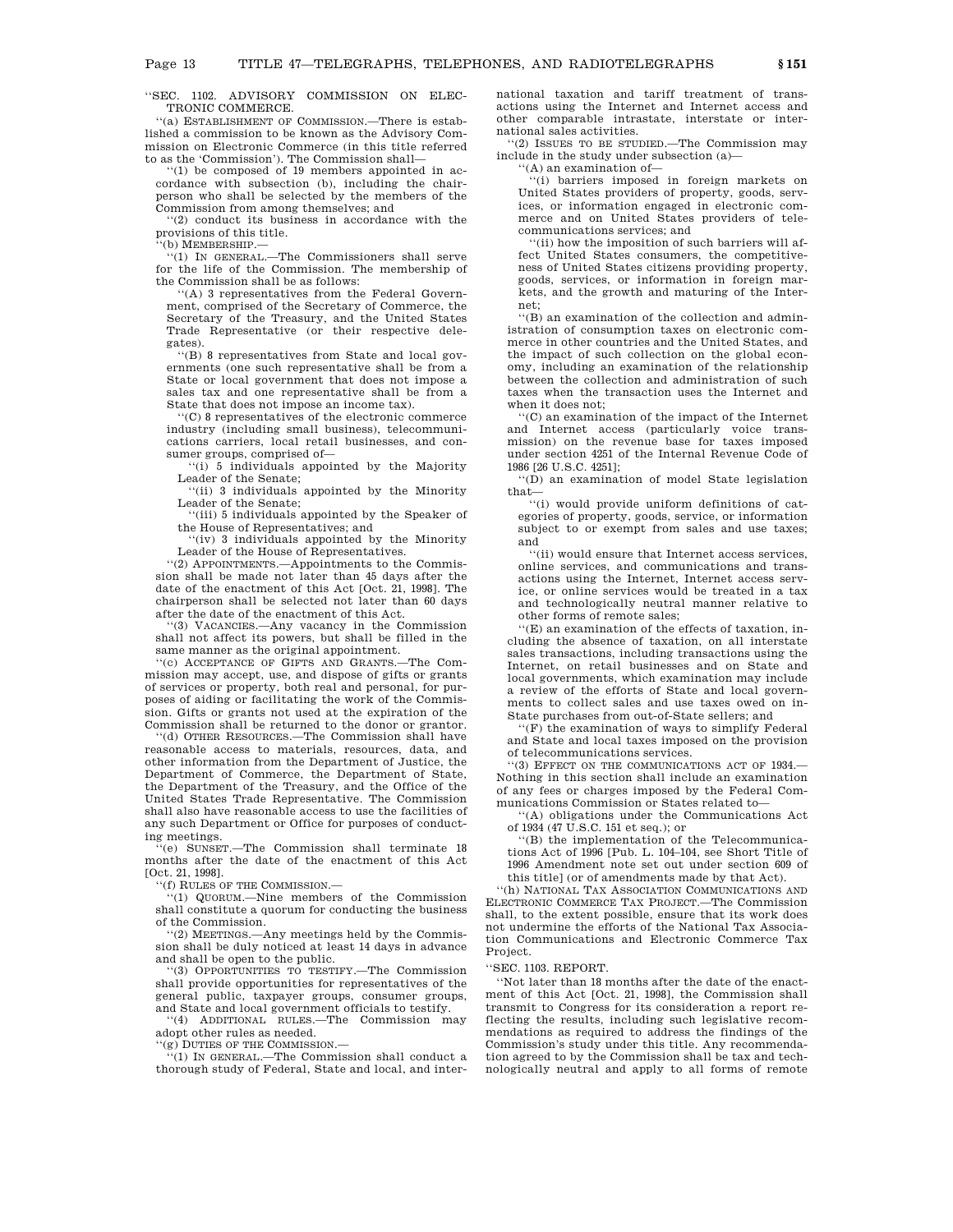''SEC. 1102. ADVISORY COMMISSION ON ELEC-TRONIC COMMERCE.

''(a) ESTABLISHMENT OF COMMISSION.—There is established a commission to be known as the Advisory Commission on Electronic Commerce (in this title referred to as the 'Commission'). The Commission shall—

''(1) be composed of 19 members appointed in accordance with subsection (b), including the chairperson who shall be selected by the members of the Commission from among themselves; and

''(2) conduct its business in accordance with the provisions of this title.

''(b) MEMBERSHIP.—

''(1) IN GENERAL.—The Commissioners shall serve for the life of the Commission. The membership of the Commission shall be as follows:

''(A) 3 representatives from the Federal Government, comprised of the Secretary of Commerce, the Secretary of the Treasury, and the United States Trade Representative (or their respective delegates).

''(B) 8 representatives from State and local governments (one such representative shall be from a State or local government that does not impose a sales tax and one representative shall be from a State that does not impose an income tax).

''(C) 8 representatives of the electronic commerce industry (including small business), telecommunications carriers, local retail businesses, and consumer groups, comprised of—

''(i) 5 individuals appointed by the Majority Leader of the Senate;

''(ii) 3 individuals appointed by the Minority Leader of the Senate;

''(iii) 5 individuals appointed by the Speaker of the House of Representatives; and

''(iv) 3 individuals appointed by the Minority Leader of the House of Representatives.

''(2) APPOINTMENTS.—Appointments to the Commission shall be made not later than 45 days after the date of the enactment of this Act [Oct. 21, 1998]. The chairperson shall be selected not later than 60 days after the date of the enactment of this Act.

''(3) VACANCIES.—Any vacancy in the Commission shall not affect its powers, but shall be filled in the same manner as the original appointment.

''(c) ACCEPTANCE OF GIFTS AND GRANTS.—The Commission may accept, use, and dispose of gifts or grants of services or property, both real and personal, for purposes of aiding or facilitating the work of the Commission. Gifts or grants not used at the expiration of the Commission shall be returned to the donor or grantor.

''(d) OTHER RESOURCES.—The Commission shall have reasonable access to materials, resources, data, and other information from the Department of Justice, the Department of Commerce, the Department of State, the Department of the Treasury, and the Office of the United States Trade Representative. The Commission shall also have reasonable access to use the facilities of any such Department or Office for purposes of conducting meetings.

''(e) SUNSET.—The Commission shall terminate 18 months after the date of the enactment of this Act [Oct. 21, 1998].

''(f) RULES OF THE COMMISSION.—

''(1) QUORUM.—Nine members of the Commission shall constitute a quorum for conducting the business of the Commission.

''(2) MEETINGS.—Any meetings held by the Commission shall be duly noticed at least 14 days in advance and shall be open to the public.

''(3) OPPORTUNITIES TO TESTIFY.—The Commission shall provide opportunities for representatives of the general public, taxpayer groups, consumer groups, and State and local government officials to testify.

'(4) ADDITIONAL RULES.—The Commission may adopt other rules as needed.

''(g) DUTIES OF THE COMMISSION.— ''(1) IN GENERAL.—The Commission shall conduct a thorough study of Federal, State and local, and international taxation and tariff treatment of transactions using the Internet and Internet access and other comparable intrastate, interstate or international sales activities.

''(2) ISSUES TO BE STUDIED.—The Commission may include in the study under subsection (a)—

'(A) an examination of-

''(i) barriers imposed in foreign markets on United States providers of property, goods, services, or information engaged in electronic commerce and on United States providers of telecommunications services; and

(ii) how the imposition of such barriers will affect United States consumers, the competitiveness of United States citizens providing property, goods, services, or information in foreign markets, and the growth and maturing of the Internet;

''(B) an examination of the collection and administration of consumption taxes on electronic commerce in other countries and the United States, and the impact of such collection on the global economy, including an examination of the relationship between the collection and administration of such taxes when the transaction uses the Internet and when it does not;

''(C) an examination of the impact of the Internet and Internet access (particularly voice transmission) on the revenue base for taxes imposed under section 4251 of the Internal Revenue Code of 1986 [26 U.S.C. 4251];

''(D) an examination of model State legislation that—

''(i) would provide uniform definitions of categories of property, goods, service, or information subject to or exempt from sales and use taxes; and

''(ii) would ensure that Internet access services, online services, and communications and transactions using the Internet, Internet access service, or online services would be treated in a tax and technologically neutral manner relative to other forms of remote sales;

''(E) an examination of the effects of taxation, including the absence of taxation, on all interstate sales transactions, including transactions using the Internet, on retail businesses and on State and local governments, which examination may include a review of the efforts of State and local governments to collect sales and use taxes owed on in-State purchases from out-of-State sellers; and

''(F) the examination of ways to simplify Federal and State and local taxes imposed on the provision of telecommunications services.

'(3) EFFECT ON THE COMMUNICATIONS ACT OF 1934. Nothing in this section shall include an examination of any fees or charges imposed by the Federal Communications Commission or States related to—

''(A) obligations under the Communications Act of 1934 (47 U.S.C. 151 et seq.); or

'(B) the implementation of the Telecommunications Act of 1996 [Pub. L. 104–104, see Short Title of 1996 Amendment note set out under section 609 of this title] (or of amendments made by that Act).

''(h) NATIONAL TAX ASSOCIATION COMMUNICATIONS AND ELECTRONIC COMMERCE TAX PROJECT.—The Commission shall, to the extent possible, ensure that its work does not undermine the efforts of the National Tax Association Communications and Electronic Commerce Tax Project.

''SEC. 1103. REPORT.

''Not later than 18 months after the date of the enactment of this Act [Oct. 21, 1998], the Commission shall transmit to Congress for its consideration a report reflecting the results, including such legislative recommendations as required to address the findings of the Commission's study under this title. Any recommendation agreed to by the Commission shall be tax and technologically neutral and apply to all forms of remote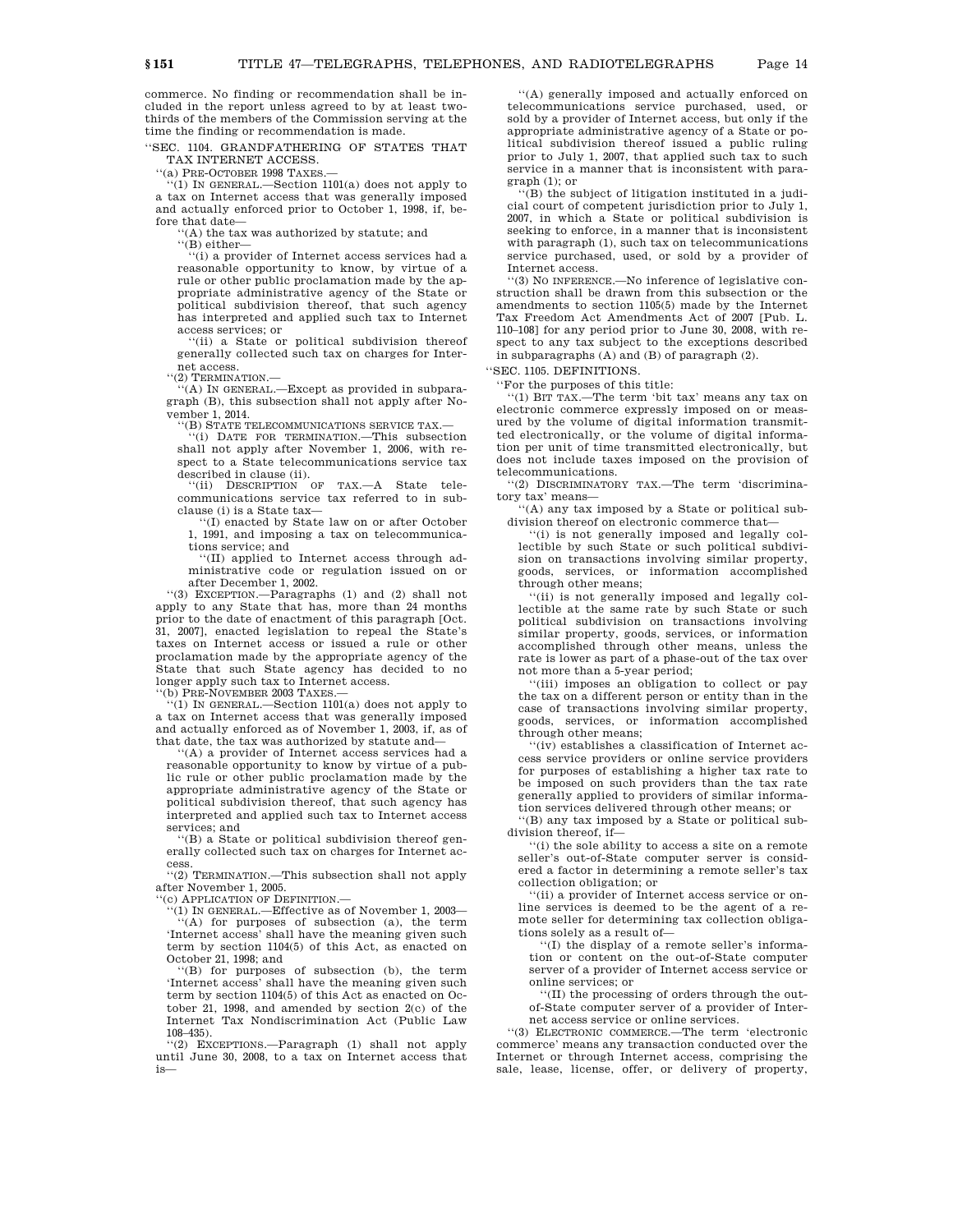commerce. No finding or recommendation shall be included in the report unless agreed to by at least twothirds of the members of the Commission serving at the time the finding or recommendation is made.

''SEC. 1104. GRANDFATHERING OF STATES THAT TAX INTERNET ACCESS.

''(a) PRE-OCTOBER 1998 TAXES.— ''(1) IN GENERAL.—Section 1101(a) does not apply to a tax on Internet access that was generally imposed and actually enforced prior to October 1, 1998, if, before that date—

''(A) the tax was authorized by statute; and

''(B) either—

''(i) a provider of Internet access services had a reasonable opportunity to know, by virtue of a rule or other public proclamation made by the appropriate administrative agency of the State or political subdivision thereof, that such agency has interpreted and applied such tax to Internet access services; or

''(ii) a State or political subdivision thereof generally collected such tax on charges for Internet access.

''(2) TERMINATION.—

''(A) IN GENERAL.—Except as provided in subparagraph (B), this subsection shall not apply after November 1, 2014.

''(B) STATE TELECOMMUNICATIONS SERVICE TAX.—

''(i) DATE FOR TERMINATION.—This subsection shall not apply after November 1, 2006, with respect to a State telecommunications service tax described in clause (ii).

''(ii) DESCRIPTION OF TAX.—A State tele-communications service tax referred to in subclause (i) is a State tax—

''(I) enacted by State law on or after October 1, 1991, and imposing a tax on telecommunications service; and

'(II) applied to Internet access through administrative code or regulation issued on or after December 1, 2002.

''(3) EXCEPTION.—Paragraphs (1) and (2) shall not apply to any State that has, more than 24 months prior to the date of enactment of this paragraph [Oct. 31, 2007], enacted legislation to repeal the State's taxes on Internet access or issued a rule or other proclamation made by the appropriate agency of the State that such State agency has decided to no longer apply such tax to Internet access.

"(b) PRE-NOVEMBER 2003 TAXES.

''(1) IN GENERAL.—Section 1101(a) does not apply to a tax on Internet access that was generally imposed and actually enforced as of November 1, 2003, if, as of that date, the tax was authorized by statute and—

''(A) a provider of Internet access services had a reasonable opportunity to know by virtue of a public rule or other public proclamation made by the appropriate administrative agency of the State or political subdivision thereof, that such agency has interpreted and applied such tax to Internet access services; and

 $f(B)$  a State or political subdivision thereof generally collected such tax on charges for Internet ac-

cess. ''(2) TERMINATION.—This subsection shall not apply after November 1, 2005.

'(c) APPLICATION OF DEFINITION.—

 $(1)$  In GENERAL.—Effective as of November 1, 2003— ''(A) for purposes of subsection (a), the term 'Internet access' shall have the meaning given such term by section 1104(5) of this Act, as enacted on October 21, 1998; and

'(B) for purposes of subsection (b), the term 'Internet access' shall have the meaning given such term by section 1104(5) of this Act as enacted on October 21, 1998, and amended by section 2(c) of the Internet Tax Nondiscrimination Act (Public Law 108–435).

''(2) EXCEPTIONS.—Paragraph (1) shall not apply until June 30, 2008, to a tax on Internet access that is—

''(A) generally imposed and actually enforced on telecommunications service purchased, used, or sold by a provider of Internet access, but only if the appropriate administrative agency of a State or political subdivision thereof issued a public ruling prior to July 1, 2007, that applied such tax to such service in a manner that is inconsistent with paragraph (1); or

''(B) the subject of litigation instituted in a judicial court of competent jurisdiction prior to July 1, 2007, in which a State or political subdivision is seeking to enforce, in a manner that is inconsistent with paragraph (1), such tax on telecommunications service purchased, used, or sold by a provider of Internet access.

''(3) NO INFERENCE.—No inference of legislative construction shall be drawn from this subsection or the amendments to section 1105(5) made by the Internet Tax Freedom Act Amendments Act of 2007 [Pub. L. 110–108] for any period prior to June 30, 2008, with respect to any tax subject to the exceptions described in subparagraphs (A) and (B) of paragraph (2).

''SEC. 1105. DEFINITIONS.

''For the purposes of this title:

''(1) BIT TAX.—The term 'bit tax' means any tax on electronic commerce expressly imposed on or measured by the volume of digital information transmitted electronically, or the volume of digital information per unit of time transmitted electronically, but does not include taxes imposed on the provision of telecommunications.

''(2) DISCRIMINATORY TAX.—The term 'discriminatory tax' means—

''(A) any tax imposed by a State or political subdivision thereof on electronic commerce that—

'(i) is not generally imposed and legally collectible by such State or such political subdivision on transactions involving similar property, goods, services, or information accomplished through other means;

''(ii) is not generally imposed and legally collectible at the same rate by such State or such political subdivision on transactions involving similar property, goods, services, or information accomplished through other means, unless the rate is lower as part of a phase-out of the tax over not more than a 5-year period;

''(iii) imposes an obligation to collect or pay the tax on a different person or entity than in the case of transactions involving similar property, goods, services, or information accomplished through other means;

''(iv) establishes a classification of Internet access service providers or online service providers for purposes of establishing a higher tax rate to be imposed on such providers than the tax rate generally applied to providers of similar information services delivered through other means; or

''(B) any tax imposed by a State or political subdivision thereof, if—

''(i) the sole ability to access a site on a remote seller's out-of-State computer server is considered a factor in determining a remote seller's tax collection obligation; or

''(ii) a provider of Internet access service or online services is deemed to be the agent of a remote seller for determining tax collection obligations solely as a result of—

''(I) the display of a remote seller's information or content on the out-of-State computer server of a provider of Internet access service or online services; or

'(II) the processing of orders through the outof-State computer server of a provider of Internet access service or online services.

''(3) ELECTRONIC COMMERCE.—The term 'electronic commerce' means any transaction conducted over the Internet or through Internet access, comprising the sale, lease, license, offer, or delivery of property,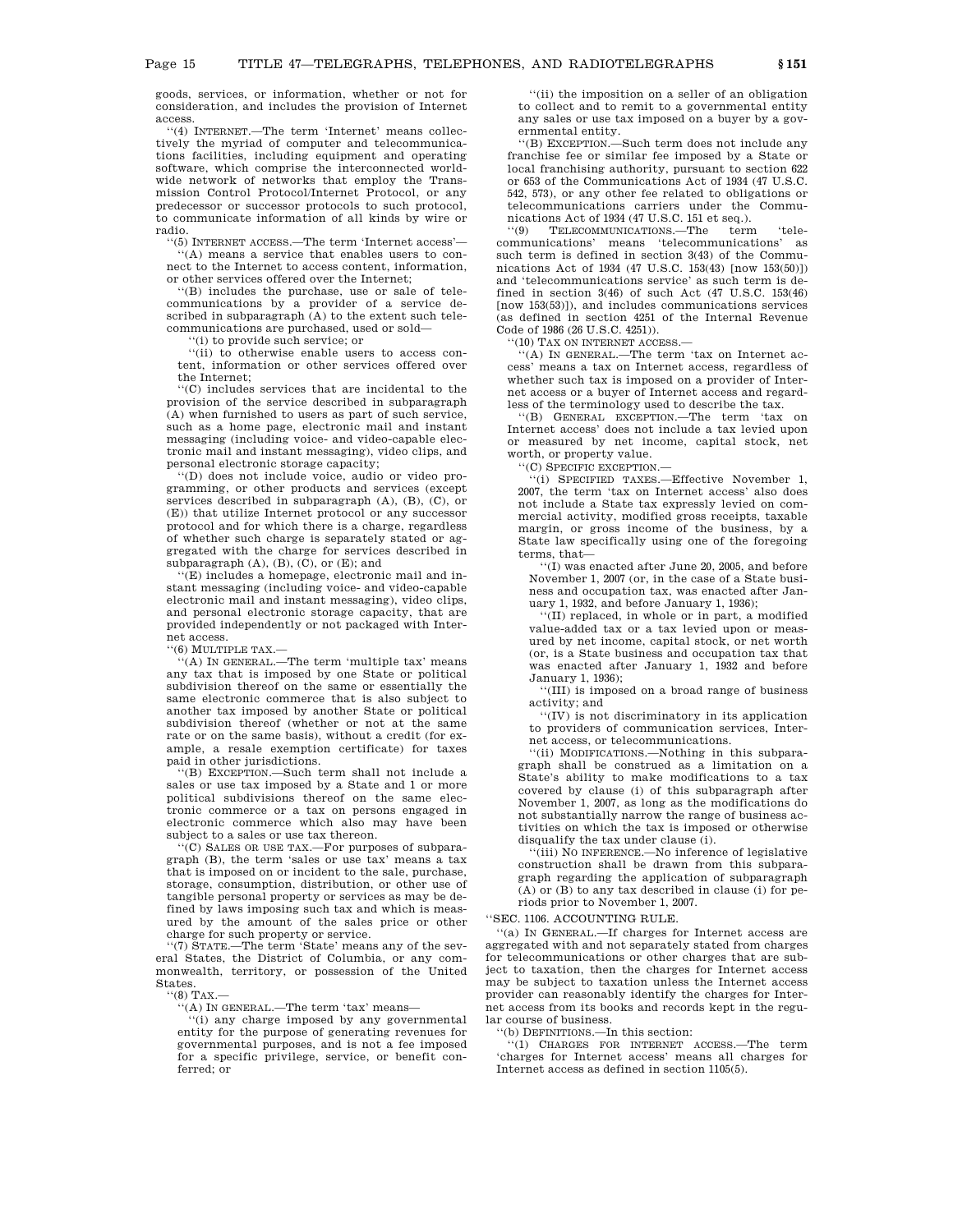goods, services, or information, whether or not for consideration, and includes the provision of Internet access.

''(4) INTERNET.—The term 'Internet' means collectively the myriad of computer and telecommunications facilities, including equipment and operating software, which comprise the interconnected worldwide network of networks that employ the Transmission Control Protocol/Internet Protocol, or any predecessor or successor protocols to such protocol, to communicate information of all kinds by wire or radio.

''(5) INTERNET ACCESS.—The term 'Internet access'—

''(A) means a service that enables users to connect to the Internet to access content, information, or other services offered over the Internet;

''(B) includes the purchase, use or sale of telecommunications by a provider of a service described in subparagraph (A) to the extent such telecommunications are purchased, used or sold—

''(i) to provide such service; or

''(ii) to otherwise enable users to access content, information or other services offered over the Internet;

''(C) includes services that are incidental to the provision of the service described in subparagraph (A) when furnished to users as part of such service, such as a home page, electronic mail and instant messaging (including voice- and video-capable electronic mail and instant messaging), video clips, and personal electronic storage capacity;

''(D) does not include voice, audio or video programming, or other products and services (except services described in subparagraph (A), (B), (C), or (E)) that utilize Internet protocol or any successor protocol and for which there is a charge, regardless of whether such charge is separately stated or aggregated with the charge for services described in subparagraph  $(A)$ ,  $(B)$ ,  $(C)$ , or  $(E)$ ; and

 $E(E)$  includes a homepage, electronic mail and instant messaging (including voice- and video-capable electronic mail and instant messaging), video clips, and personal electronic storage capacity, that are provided independently or not packaged with Internet access.

'(6) MULTIPLE TAX. $-$ 

''(A) IN GENERAL.—The term 'multiple tax' means any tax that is imposed by one State or political subdivision thereof on the same or essentially the same electronic commerce that is also subject to another tax imposed by another State or political subdivision thereof (whether or not at the same rate or on the same basis), without a credit (for example, a resale exemption certificate) for taxes paid in other jurisdictions.

''(B) EXCEPTION.—Such term shall not include a sales or use tax imposed by a State and 1 or more political subdivisions thereof on the same electronic commerce or a tax on persons engaged in electronic commerce which also may have been subject to a sales or use tax thereon.

''(C) SALES OR USE TAX.—For purposes of subparagraph (B), the term 'sales or use tax' means a tax that is imposed on or incident to the sale, purchase, storage, consumption, distribution, or other use of tangible personal property or services as may be defined by laws imposing such tax and which is measured by the amount of the sales price or other charge for such property or service.

''(7) STATE.—The term 'State' means any of the several States, the District of Columbia, or any commonwealth, territory, or possession of the United States.

''(8) TAX.—

''(A) IN GENERAL.—The term 'tax' means— ''(i) any charge imposed by any governmental entity for the purpose of generating revenues for governmental purposes, and is not a fee imposed for a specific privilege, service, or benefit conferred; or

''(ii) the imposition on a seller of an obligation to collect and to remit to a governmental entity any sales or use tax imposed on a buyer by a governmental entity.

''(B) EXCEPTION.—Such term does not include any franchise fee or similar fee imposed by a State or local franchising authority, pursuant to section 622 or 653 of the Communications Act of 1934 (47 U.S.C. 542, 573), or any other fee related to obligations or telecommunications carriers under the Communications Act of 1934 (47 U.S.C. 151 et seq.).<br>
"(9) TELECOMMUNICATIONS.—The term

'(9) TELECOMMUNICATIONS.—The term 'telecommunications' means 'telecommunications' as such term is defined in section 3(43) of the Communications Act of 1934 (47 U.S.C. 153(43) [now 153(50)]) and 'telecommunications service' as such term is defined in section 3(46) of such Act (47 U.S.C. 153(46) [now 153(53)]), and includes communications services (as defined in section 4251 of the Internal Revenue Code of 1986 (26 U.S.C. 4251)).

''(10) TAX ON INTERNET ACCESS.—

 $($ A) IN GENERAL.—The term 'tax on Internet access' means a tax on Internet access, regardless of whether such tax is imposed on a provider of Internet access or a buyer of Internet access and regardless of the terminology used to describe the tax.

''(B) GENERAL EXCEPTION.—The term 'tax on Internet access' does not include a tax levied upon or measured by net income, capital stock, net worth, or property value.

''(C) SPECIFIC EXCEPTION.—

''(i) SPECIFIED TAXES.—Effective November 1, 2007, the term 'tax on Internet access' also does not include a State tax expressly levied on commercial activity, modified gross receipts, taxable margin, or gross income of the business, by a State law specifically using one of the foregoing terms, that—

''(I) was enacted after June 20, 2005, and before November 1, 2007 (or, in the case of a State business and occupation tax, was enacted after January 1, 1932, and before January 1, 1936);

''(II) replaced, in whole or in part, a modified value-added tax or a tax levied upon or measured by net income, capital stock, or net worth (or, is a State business and occupation tax that was enacted after January 1, 1932 and before January 1, 1936);

''(III) is imposed on a broad range of business activity; and

''(IV) is not discriminatory in its application to providers of communication services, Internet access, or telecommunications.

''(ii) MODIFICATIONS.—Nothing in this subparagraph shall be construed as a limitation on a State's ability to make modifications to a tax covered by clause (i) of this subparagraph after November 1, 2007, as long as the modifications do not substantially narrow the range of business activities on which the tax is imposed or otherwise disqualify the tax under clause (i).

''(iii) NO INFERENCE.—No inference of legislative construction shall be drawn from this subparagraph regarding the application of subparagraph (A) or (B) to any tax described in clause (i) for periods prior to November 1, 2007.

''SEC. 1106. ACCOUNTING RULE.

''(a) IN GENERAL.—If charges for Internet access are aggregated with and not separately stated from charges for telecommunications or other charges that are subject to taxation, then the charges for Internet access may be subject to taxation unless the Internet access provider can reasonably identify the charges for Internet access from its books and records kept in the regular course of business.

''(b) DEFINITIONS.—In this section:

''(1) CHARGES FOR INTERNET ACCESS.—The term 'charges for Internet access' means all charges for Internet access as defined in section 1105(5).